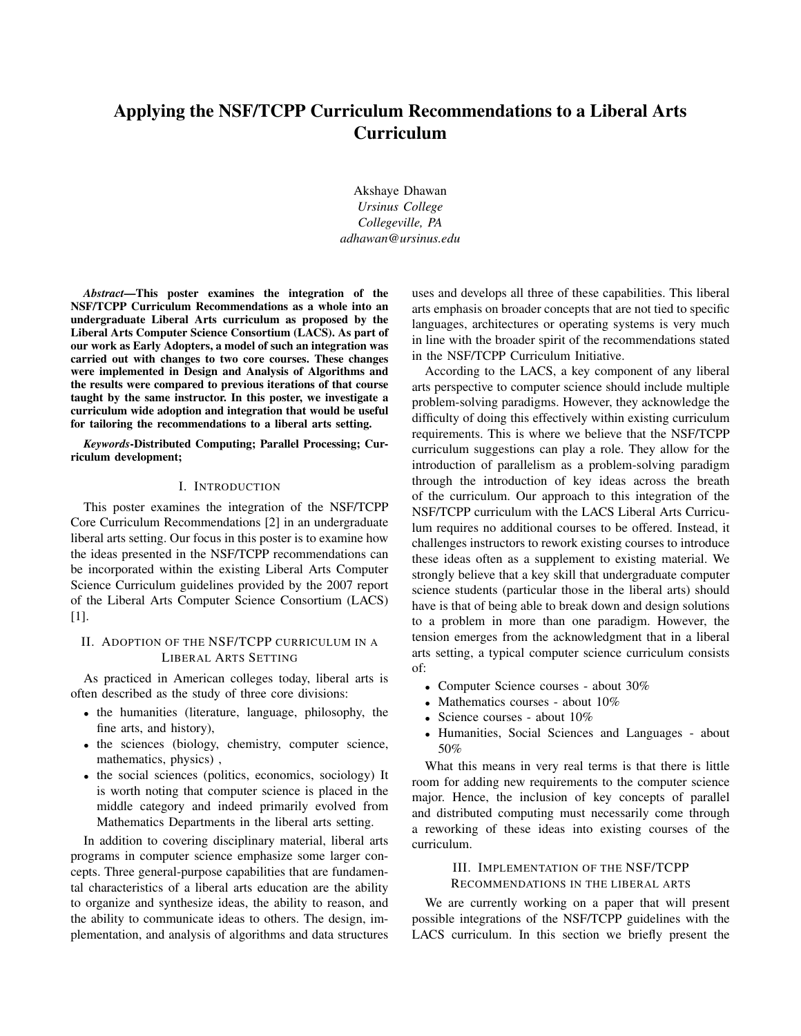# Applying the NSF/TCPP Curriculum Recommendations to a Liberal Arts Curriculum

Akshaye Dhawan *Ursinus College Collegeville, PA adhawan@ursinus.edu*

*Abstract*—This poster examines the integration of the NSF/TCPP Curriculum Recommendations as a whole into an undergraduate Liberal Arts curriculum as proposed by the Liberal Arts Computer Science Consortium (LACS). As part of our work as Early Adopters, a model of such an integration was carried out with changes to two core courses. These changes were implemented in Design and Analysis of Algorithms and the results were compared to previous iterations of that course taught by the same instructor. In this poster, we investigate a curriculum wide adoption and integration that would be useful for tailoring the recommendations to a liberal arts setting.

*Keywords*-Distributed Computing; Parallel Processing; Curriculum development;

#### I. INTRODUCTION

This poster examines the integration of the NSF/TCPP Core Curriculum Recommendations [2] in an undergraduate liberal arts setting. Our focus in this poster is to examine how the ideas presented in the NSF/TCPP recommendations can be incorporated within the existing Liberal Arts Computer Science Curriculum guidelines provided by the 2007 report of the Liberal Arts Computer Science Consortium (LACS) [1].

### II. ADOPTION OF THE NSF/TCPP CURRICULUM IN A LIBERAL ARTS SETTING

As practiced in American colleges today, liberal arts is often described as the study of three core divisions:

- the humanities (literature, language, philosophy, the fine arts, and history),
- the sciences (biology, chemistry, computer science, mathematics, physics) ,
- the social sciences (politics, economics, sociology) It is worth noting that computer science is placed in the middle category and indeed primarily evolved from Mathematics Departments in the liberal arts setting.

In addition to covering disciplinary material, liberal arts programs in computer science emphasize some larger concepts. Three general-purpose capabilities that are fundamental characteristics of a liberal arts education are the ability to organize and synthesize ideas, the ability to reason, and the ability to communicate ideas to others. The design, implementation, and analysis of algorithms and data structures uses and develops all three of these capabilities. This liberal arts emphasis on broader concepts that are not tied to specific languages, architectures or operating systems is very much in line with the broader spirit of the recommendations stated in the NSF/TCPP Curriculum Initiative.

According to the LACS, a key component of any liberal arts perspective to computer science should include multiple problem-solving paradigms. However, they acknowledge the difficulty of doing this effectively within existing curriculum requirements. This is where we believe that the NSF/TCPP curriculum suggestions can play a role. They allow for the introduction of parallelism as a problem-solving paradigm through the introduction of key ideas across the breath of the curriculum. Our approach to this integration of the NSF/TCPP curriculum with the LACS Liberal Arts Curriculum requires no additional courses to be offered. Instead, it challenges instructors to rework existing courses to introduce these ideas often as a supplement to existing material. We strongly believe that a key skill that undergraduate computer science students (particular those in the liberal arts) should have is that of being able to break down and design solutions to a problem in more than one paradigm. However, the tension emerges from the acknowledgment that in a liberal arts setting, a typical computer science curriculum consists of:

- Computer Science courses about 30%
- Mathematics courses about 10%
- Science courses about 10%
- Humanities, Social Sciences and Languages about 50%

What this means in very real terms is that there is little room for adding new requirements to the computer science major. Hence, the inclusion of key concepts of parallel and distributed computing must necessarily come through a reworking of these ideas into existing courses of the curriculum.

# III. IMPLEMENTATION OF THE NSF/TCPP RECOMMENDATIONS IN THE LIBERAL ARTS

We are currently working on a paper that will present possible integrations of the NSF/TCPP guidelines with the LACS curriculum. In this section we briefly present the